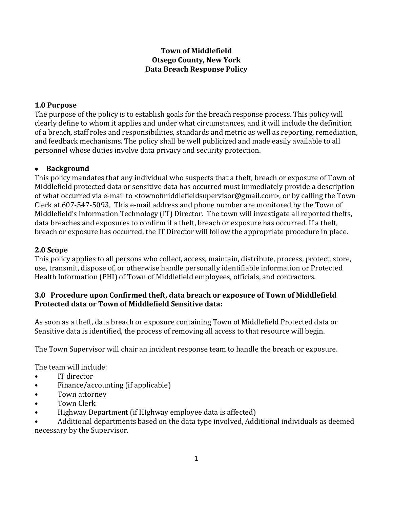# **Town of Middlefield Otsego County, New York Data Breach Response Policy**

## **1.0 Purpose**

The purpose of the policy is to establish goals for the breach response process. This policy will clearly define to whom it applies and under what circumstances, and it will include the definition of a breach, staff roles and responsibilities, standards and metric as well as reporting, remediation, and feedback mechanisms. The policy shall be well publicized and made easily available to all personnel whose duties involve data privacy and security protection.

## **Background**

This policy mandates that any individual who suspects that a theft, breach or exposure of Town of Middlefield protected data or sensitive data has occurred must immediately provide a description of what occurred via e-mail to <townofmiddlefieldsupervisor@gmail.com>, or by calling the Town Clerk at 607-547-5093, This e-mail address and phone number are monitored by the Town of Middlefield's Information Technology (IT) Director. The town will investigate all reported thefts, data breaches and exposures to confirm if a theft, breach or exposure has occurred. If a theft, breach or exposure has occurred, the IT Director will follow the appropriate procedure in place.

## **2.0 Scope**

This policy applies to all persons who collect, access, maintain, distribute, process, protect, store, use, transmit, dispose of, or otherwise handle personally identifiable information or Protected Health Information (PHI) of Town of Middlefield employees, officials, and contractors.

## **3.0 Procedure upon Confirmed theft, data breach or exposure of Town of Middlefield Protected data or Town of Middlefield Sensitive data:**

As soon as a theft, data breach or exposure containing Town of Middlefield Protected data or Sensitive data is identified, the process of removing all access to that resource will begin.

The Town Supervisor will chair an incident response team to handle the breach or exposure.

The team will include:

- IT director
- Finance/accounting (if applicable)
- Town attorney
- **Town Clerk**
- Highway Department (if HIghway employee data is affected)

• Additional departments based on the data type involved, Additional individuals as deemed necessary by the Supervisor.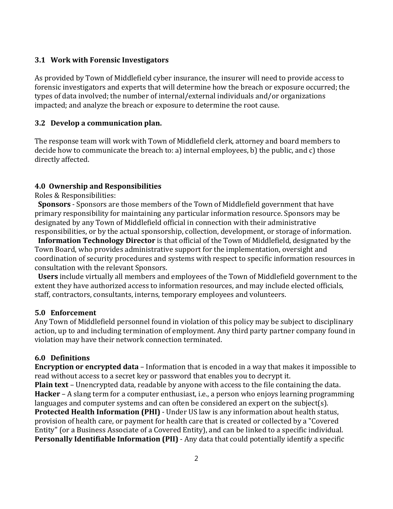### **3.1 Work with Forensic Investigators**

As provided by Town of Middlefield cyber insurance, the insurer will need to provide access to forensic investigators and experts that will determine how the breach or exposure occurred; the types of data involved; the number of internal/external individuals and/or organizations impacted; and analyze the breach or exposure to determine the root cause.

## **3.2 Develop a communication plan.**

The response team will work with Town of Middlefield clerk, attorney and board members to decide how to communicate the breach to: a) internal employees, b) the public, and c) those directly affected.

## **4.0 Ownership and Responsibilities**

Roles & Responsibilities:

 **Sponsors** - Sponsors are those members of the Town of Middlefield government that have primary responsibility for maintaining any particular information resource. Sponsors may be designated by any Town of Middlefield official in connection with their administrative responsibilities, or by the actual sponsorship, collection, development, or storage of information.

 **Information Technology Director** is that official of the Town of Middlefield, designated by the Town Board, who provides administrative support for the implementation, oversight and coordination of security procedures and systems with respect to specific information resources in consultation with the relevant Sponsors.

 **Users** include virtually all members and employees of the Town of Middlefield government to the extent they have authorized access to information resources, and may include elected officials, staff, contractors, consultants, interns, temporary employees and volunteers.

#### **5.0 Enforcement**

Any Town of Middlefield personnel found in violation of this policy may be subject to disciplinary action, up to and including termination of employment. Any third party partner company found in violation may have their network connection terminated.

## **6.0 Definitions**

**Encryption or encrypted data** – Information that is encoded in a way that makes it impossible to read without access to a secret key or password that enables you to decrypt it.

**Plain text** – Unencrypted data, readable by anyone with access to the file containing the data. **Hacker** – A slang term for a computer enthusiast, i.e., a person who enjoys learning programming languages and computer systems and can often be considered an expert on the subject(s). **Protected Health Information (PHI)** - Under US law is any information about health status, provision of health care, or payment for health care that is created or collected by a "Covered Entity" (or a Business Associate of a Covered Entity), and can be linked to a specific individual. **Personally Identifiable Information (PII)** - Any data that could potentially identify a specific